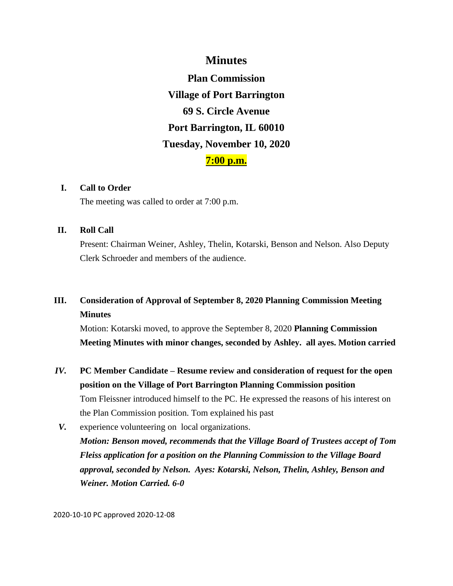## **Minutes**

**Plan Commission Village of Port Barrington 69 S. Circle Avenue Port Barrington, IL 60010 Tuesday, November 10, 2020 7:00 p.m.**

#### **I. Call to Order**

The meeting was called to order at 7:00 p.m.

#### **II. Roll Call**

Present: Chairman Weiner, Ashley, Thelin, Kotarski, Benson and Nelson. Also Deputy Clerk Schroeder and members of the audience.

# **III. Consideration of Approval of September 8, 2020 Planning Commission Meeting Minutes**

Motion: Kotarski moved, to approve the September 8, 2020 **Planning Commission Meeting Minutes with minor changes, seconded by Ashley. all ayes. Motion carried** 

- *IV.* **PC Member Candidate – Resume review and consideration of request for the open position on the Village of Port Barrington Planning Commission position** Tom Fleissner introduced himself to the PC. He expressed the reasons of his interest on the Plan Commission position. Tom explained his past
- *V.* experience volunteering on local organizations. *Motion: Benson moved, recommends that the Village Board of Trustees accept of Tom Fleiss application for a position on the Planning Commission to the Village Board approval, seconded by Nelson. Ayes: Kotarski, Nelson, Thelin, Ashley, Benson and Weiner. Motion Carried. 6-0*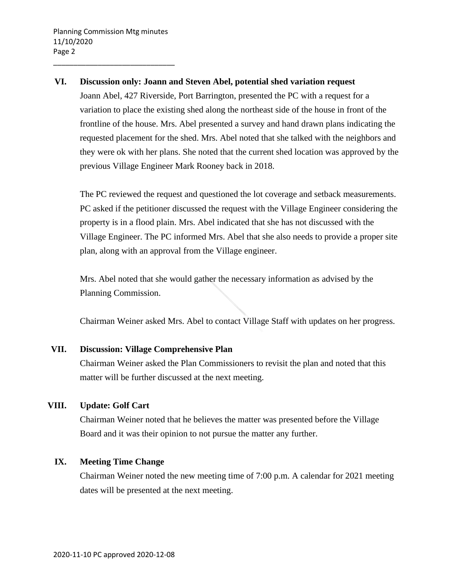\_\_\_\_\_\_\_\_\_\_\_\_\_\_\_\_\_\_\_\_\_\_\_\_\_\_\_\_\_\_

#### **VI. Discussion only: Joann and Steven Abel, potential shed variation request**

Joann Abel, 427 Riverside, Port Barrington, presented the PC with a request for a variation to place the existing shed along the northeast side of the house in front of the frontline of the house. Mrs. Abel presented a survey and hand drawn plans indicating the requested placement for the shed. Mrs. Abel noted that she talked with the neighbors and they were ok with her plans. She noted that the current shed location was approved by the previous Village Engineer Mark Rooney back in 2018.

The PC reviewed the request and questioned the lot coverage and setback measurements. PC asked if the petitioner discussed the request with the Village Engineer considering the property is in a flood plain. Mrs. Abel indicated that she has not discussed with the Village Engineer. The PC informed Mrs. Abel that she also needs to provide a proper site plan, along with an approval from the Village engineer.

Mrs. Abel noted that she would gather the necessary information as advised by the Planning Commission.

Chairman Weiner asked Mrs. Abel to contact Village Staff with updates on her progress.

#### **VII. Discussion: Village Comprehensive Plan**

Chairman Weiner asked the Plan Commissioners to revisit the plan and noted that this matter will be further discussed at the next meeting.

#### **VIII. Update: Golf Cart**

Chairman Weiner noted that he believes the matter was presented before the Village Board and it was their opinion to not pursue the matter any further.

#### **IX. Meeting Time Change**

Chairman Weiner noted the new meeting time of 7:00 p.m. A calendar for 2021 meeting dates will be presented at the next meeting.